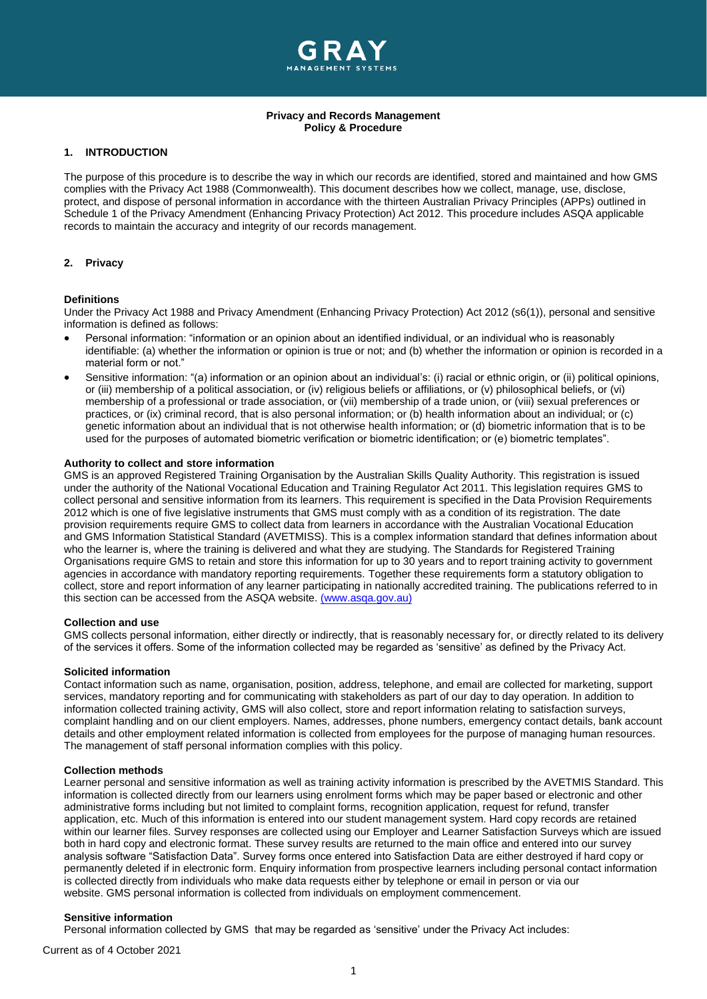

## **Privacy and Records Management Policy & Procedure**

# **1. INTRODUCTION**

The purpose of this procedure is to describe the way in which our records are identified, stored and maintained and how GMS complies with the Privacy Act 1988 (Commonwealth). This document describes how we collect, manage, use, disclose, protect, and dispose of personal information in accordance with the thirteen Australian Privacy Principles (APPs) outlined in Schedule 1 of the Privacy Amendment (Enhancing Privacy Protection) Act 2012. This procedure includes ASQA applicable records to maintain the accuracy and integrity of our records management.

## **2. Privacy**

#### **Definitions**

Under the Privacy Act 1988 and Privacy Amendment (Enhancing Privacy Protection) Act 2012 (s6(1)), personal and sensitive information is defined as follows:

- Personal information: "information or an opinion about an identified individual, or an individual who is reasonably identifiable: (a) whether the information or opinion is true or not; and (b) whether the information or opinion is recorded in a material form or not."
- Sensitive information: "(a) information or an opinion about an individual's: (i) racial or ethnic origin, or (ii) political opinions, or (iii) membership of a political association, or (iv) religious beliefs or affiliations, or (v) philosophical beliefs, or (vi) membership of a professional or trade association, or (vii) membership of a trade union, or (viii) sexual preferences or practices, or (ix) criminal record, that is also personal information; or (b) health information about an individual; or (c) genetic information about an individual that is not otherwise health information; or (d) biometric information that is to be used for the purposes of automated biometric verification or biometric identification; or (e) biometric templates".

## **Authority to collect and store information**

GMS is an approved Registered Training Organisation by the Australian Skills Quality Authority. This registration is issued under the authority of the National Vocational Education and Training Regulator Act 2011. This legislation requires GMS to collect personal and sensitive information from its learners. This requirement is specified in the Data Provision Requirements 2012 which is one of five legislative instruments that GMS must comply with as a condition of its registration. The date provision requirements require GMS to collect data from learners in accordance with the Australian Vocational Education and GMS Information Statistical Standard (AVETMISS). This is a complex information standard that defines information about who the learner is, where the training is delivered and what they are studying. The Standards for Registered Training Organisations require GMS to retain and store this information for up to 30 years and to report training activity to government agencies in accordance with mandatory reporting requirements. Together these requirements form a statutory obligation to collect, store and report information of any learner participating in nationally accredited training. The publications referred to in this section can be accessed from the ASQA website. [\(www.asqa.gov.au\)](https://www.asqa.gov.au/)

#### **Collection and use**

GMS collects personal information, either directly or indirectly, that is reasonably necessary for, or directly related to its delivery of the services it offers. Some of the information collected may be regarded as 'sensitive' as defined by the Privacy Act.

#### **Solicited information**

Contact information such as name, organisation, position, address, telephone, and email are collected for marketing, support services, mandatory reporting and for communicating with stakeholders as part of our day to day operation. In addition to information collected training activity, GMS will also collect, store and report information relating to satisfaction surveys, complaint handling and on our client employers. Names, addresses, phone numbers, emergency contact details, bank account details and other employment related information is collected from employees for the purpose of managing human resources. The management of staff personal information complies with this policy.

## **Collection methods**

Learner personal and sensitive information as well as training activity information is prescribed by the AVETMIS Standard. This information is collected directly from our learners using enrolment forms which may be paper based or electronic and other administrative forms including but not limited to complaint forms, recognition application, request for refund, transfer application, etc. Much of this information is entered into our student management system. Hard copy records are retained within our learner files. Survey responses are collected using our Employer and Learner Satisfaction Surveys which are issued both in hard copy and electronic format. These survey results are returned to the main office and entered into our survey analysis software "Satisfaction Data". Survey forms once entered into Satisfaction Data are either destroyed if hard copy or permanently deleted if in electronic form. Enquiry information from prospective learners including personal contact information is collected directly from individuals who make data requests either by telephone or email in person or via our website. GMS personal information is collected from individuals on employment commencement.

## **Sensitive information**

Personal information collected by GMS that may be regarded as 'sensitive' under the Privacy Act includes: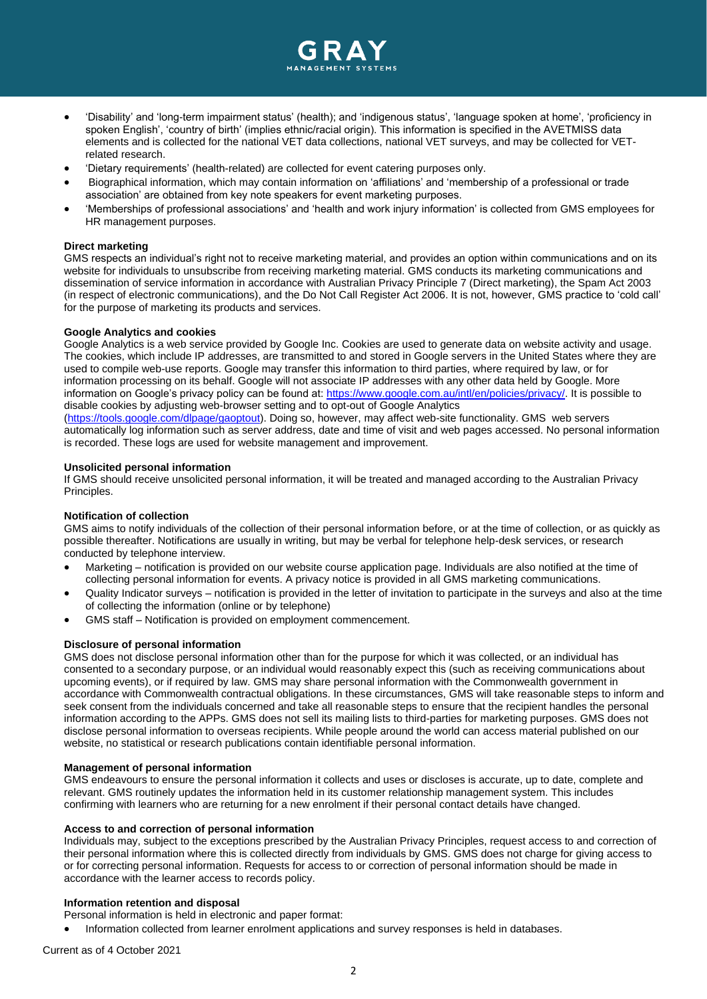

- 'Disability' and 'long-term impairment status' (health); and 'indigenous status', 'language spoken at home', 'proficiency in spoken English', 'country of birth' (implies ethnic/racial origin). This information is specified in the AVETMISS data elements and is collected for the national VET data collections, national VET surveys, and may be collected for VETrelated research.
- 'Dietary requirements' (health-related) are collected for event catering purposes only.
- Biographical information, which may contain information on 'affiliations' and 'membership of a professional or trade association' are obtained from key note speakers for event marketing purposes.
- 'Memberships of professional associations' and 'health and work injury information' is collected from GMS employees for HR management purposes.

#### **Direct marketing**

GMS respects an individual's right not to receive marketing material, and provides an option within communications and on its website for individuals to unsubscribe from receiving marketing material. GMS conducts its marketing communications and dissemination of service information in accordance with Australian Privacy Principle 7 (Direct marketing), the Spam Act 2003 (in respect of electronic communications), and the Do Not Call Register Act 2006. It is not, however, GMS practice to 'cold call' for the purpose of marketing its products and services.

#### **Google Analytics and cookies**

Google Analytics is a web service provided by Google Inc. Cookies are used to generate data on website activity and usage. The cookies, which include IP addresses, are transmitted to and stored in Google servers in the United States where they are used to compile web-use reports. Google may transfer this information to third parties, where required by law, or for information processing on its behalf. Google will not associate IP addresses with any other data held by Google. More information on Google's privacy policy can be found at: [https://www.google.com.au/intl/en/policies/privacy/.](https://www.google.com.au/intl/en/policies/privacy/) It is possible to disable cookies by adjusting web-browser setting and to opt-out of Google Analytics

[\(https://tools.google.com/dlpage/gaoptout\)](https://tools.google.com/dlpage/gaoptout). Doing so, however, may affect web-site functionality. GMS web servers automatically log information such as server address, date and time of visit and web pages accessed. No personal information is recorded. These logs are used for website management and improvement.

## **Unsolicited personal information**

If GMS should receive unsolicited personal information, it will be treated and managed according to the Australian Privacy Principles.

## **Notification of collection**

GMS aims to notify individuals of the collection of their personal information before, or at the time of collection, or as quickly as possible thereafter. Notifications are usually in writing, but may be verbal for telephone help-desk services, or research conducted by telephone interview.

- Marketing notification is provided on our website course application page. Individuals are also notified at the time of collecting personal information for events. A privacy notice is provided in all GMS marketing communications.
- Quality Indicator surveys notification is provided in the letter of invitation to participate in the surveys and also at the time of collecting the information (online or by telephone)
- GMS staff Notification is provided on employment commencement.

## **Disclosure of personal information**

GMS does not disclose personal information other than for the purpose for which it was collected, or an individual has consented to a secondary purpose, or an individual would reasonably expect this (such as receiving communications about upcoming events), or if required by law. GMS may share personal information with the Commonwealth government in accordance with Commonwealth contractual obligations. In these circumstances, GMS will take reasonable steps to inform and seek consent from the individuals concerned and take all reasonable steps to ensure that the recipient handles the personal information according to the APPs. GMS does not sell its mailing lists to third-parties for marketing purposes. GMS does not disclose personal information to overseas recipients. While people around the world can access material published on our website, no statistical or research publications contain identifiable personal information.

#### **Management of personal information**

GMS endeavours to ensure the personal information it collects and uses or discloses is accurate, up to date, complete and relevant. GMS routinely updates the information held in its customer relationship management system. This includes confirming with learners who are returning for a new enrolment if their personal contact details have changed.

#### **Access to and correction of personal information**

Individuals may, subject to the exceptions prescribed by the Australian Privacy Principles, request access to and correction of their personal information where this is collected directly from individuals by GMS. GMS does not charge for giving access to or for correcting personal information. Requests for access to or correction of personal information should be made in accordance with the learner access to records policy.

# **Information retention and disposal**

- Personal information is held in electronic and paper format:
- Information collected from learner enrolment applications and survey responses is held in databases.

Current as of 4 October 2021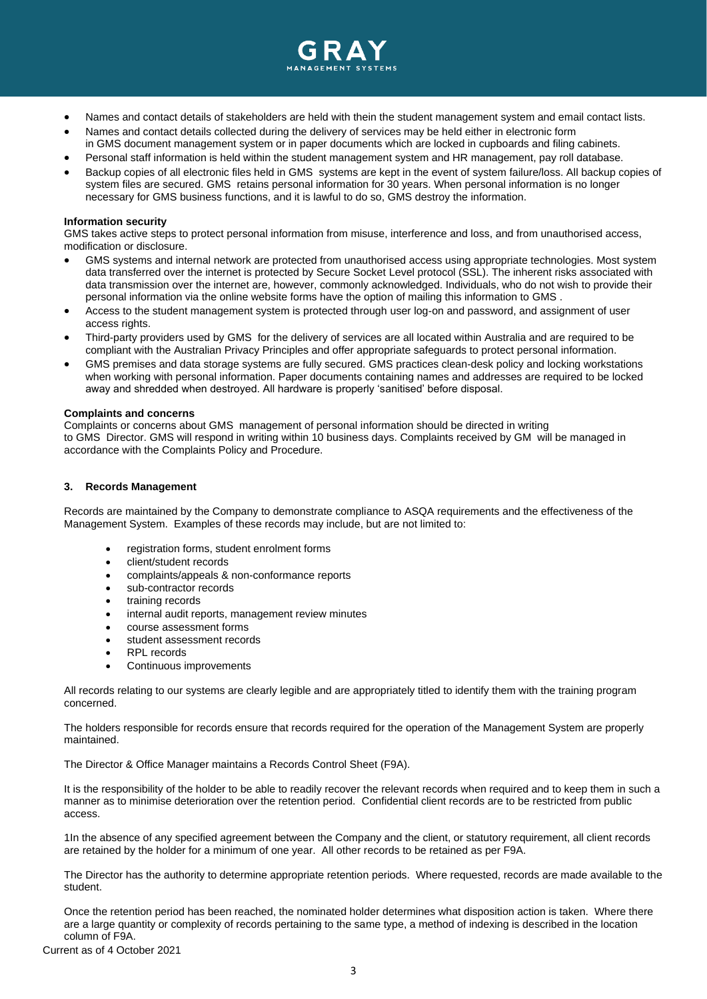

- Names and contact details of stakeholders are held with thein the student management system and email contact lists.
- Names and contact details collected during the delivery of services may be held either in electronic form in GMS document management system or in paper documents which are locked in cupboards and filing cabinets.
- Personal staff information is held within the student management system and HR management, pay roll database.
- Backup copies of all electronic files held in GMS systems are kept in the event of system failure/loss. All backup copies of system files are secured. GMS retains personal information for 30 years. When personal information is no longer necessary for GMS business functions, and it is lawful to do so, GMS destroy the information.

#### **Information security**

GMS takes active steps to protect personal information from misuse, interference and loss, and from unauthorised access, modification or disclosure.

- GMS systems and internal network are protected from unauthorised access using appropriate technologies. Most system data transferred over the internet is protected by Secure Socket Level protocol (SSL). The inherent risks associated with data transmission over the internet are, however, commonly acknowledged. Individuals, who do not wish to provide their personal information via the online website forms have the option of mailing this information to GMS .
- Access to the student management system is protected through user log-on and password, and assignment of user access rights.
- Third-party providers used by GMS for the delivery of services are all located within Australia and are required to be compliant with the Australian Privacy Principles and offer appropriate safeguards to protect personal information.
- GMS premises and data storage systems are fully secured. GMS practices clean-desk policy and locking workstations when working with personal information. Paper documents containing names and addresses are required to be locked away and shredded when destroyed. All hardware is properly 'sanitised' before disposal.

#### **Complaints and concerns**

Complaints or concerns about GMS management of personal information should be directed in writing to GMS Director. GMS will respond in writing within 10 business days. Complaints received by GM will be managed in accordance with the Complaints Policy and Procedure.

## **3. Records Management**

Records are maintained by the Company to demonstrate compliance to ASQA requirements and the effectiveness of the Management System. Examples of these records may include, but are not limited to:

- registration forms, student enrolment forms
- client/student records
- complaints/appeals & non-conformance reports
- sub-contractor records
- training records
- internal audit reports, management review minutes
- course assessment forms
- student assessment records
- **RPL** records
- Continuous improvements

All records relating to our systems are clearly legible and are appropriately titled to identify them with the training program concerned.

The holders responsible for records ensure that records required for the operation of the Management System are properly maintained.

The Director & Office Manager maintains a Records Control Sheet (F9A).

It is the responsibility of the holder to be able to readily recover the relevant records when required and to keep them in such a manner as to minimise deterioration over the retention period. Confidential client records are to be restricted from public access.

1In the absence of any specified agreement between the Company and the client, or statutory requirement, all client records are retained by the holder for a minimum of one year. All other records to be retained as per F9A.

The Director has the authority to determine appropriate retention periods. Where requested, records are made available to the student.

Once the retention period has been reached, the nominated holder determines what disposition action is taken. Where there are a large quantity or complexity of records pertaining to the same type, a method of indexing is described in the location column of F9A.

Current as of 4 October 2021